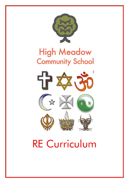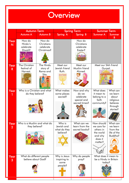## **Overview**

|                        | <b>Autumn Term</b>                              |                                                 | <b>Spring Term</b>                               |                                                                   | <b>Summer Term</b>                                                                   |                                                                               |
|------------------------|-------------------------------------------------|-------------------------------------------------|--------------------------------------------------|-------------------------------------------------------------------|--------------------------------------------------------------------------------------|-------------------------------------------------------------------------------|
|                        | Autumn A                                        | <b>Autumn B</b>                                 | Spring A                                         | Spring B                                                          | <b>Summer A</b>                                                                      | Summer<br>B                                                                   |
| Year<br>N              | How do<br>Hindu's<br>celebrate<br>Diwali?       | How do<br>Christians<br>celebrate<br>Christmas? |                                                  | How do<br>Christians<br>celebrate<br>Easter?                      |                                                                                      |                                                                               |
| Year<br>$\mathsf{R}$   | The Christian<br>festival of<br>Harvest.        | The Hindu<br>story of<br>Rama and<br>Sita.      | Meet our<br>Jewish friend<br>Ruth.<br>mmm        | Meet our<br>Muslim friend<br>Ahmed.                               | Meet our Sikh friend<br>Gurpal.                                                      |                                                                               |
| Year                   | Who is a Christian and what<br>do they believe? |                                                 | What makes<br>some places<br>sacred?<br>G.       | How and why<br>do we<br>celebrate<br>special and<br>sacred times? | What does<br>it mean to<br>belong to a<br>faith<br>community?                        | What can<br>we learn<br>about<br>religious<br>believes<br>through<br>stories? |
| Year<br>$\overline{2}$ | Who is a Muslim and what do<br>they believe?    |                                                 | Who is<br>Jewish and<br>what do they<br>believe? | What can we<br>learn from the<br>sacred books?                    | How should<br>we care for<br>others in<br>the world<br>and why<br>does it<br>matter? | What can<br>we learn<br>from the<br>life of the<br>Buddha?                    |
| Year<br>3              | What do different people<br>believe about God?  |                                                 | Why is Jesus<br>inspiring to<br>some<br>people?  | Why do people<br>pray?                                            | What does it mean to<br>be a Hindu in Britain<br>today?                              |                                                                               |